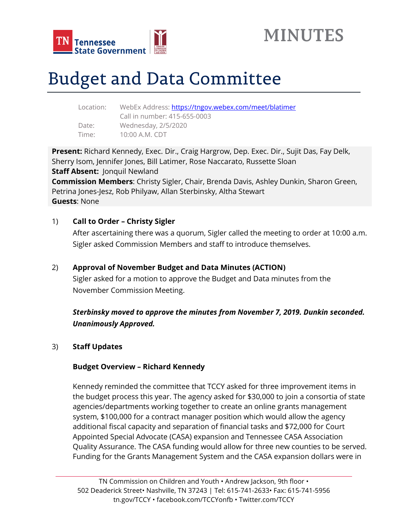



# Budget and Data Committee

| WebEx Address: https://tngov.webex.com/meet/blatimer |
|------------------------------------------------------|
| Call in number: 415-655-0003                         |
| Wednesday, 2/5/2020                                  |
| 10:00 A.M. CDT                                       |
|                                                      |

**Present:** Richard Kennedy, Exec. Dir., Craig Hargrow, Dep. Exec. Dir., Sujit Das, Fay Delk, Sherry Isom, Jennifer Jones, Bill Latimer, Rose Naccarato, Russette Sloan **Staff Absent:** Jonquil Newland **Commission Members**: Christy Sigler, Chair, Brenda Davis, Ashley Dunkin, Sharon Green, Petrina Jones-Jesz, Rob Philyaw, Allan Sterbinsky, Altha Stewart **Guests**: None

#### 1) **Call to Order – Christy Sigler**

After ascertaining there was a quorum, Sigler called the meeting to order at 10:00 a.m. Sigler asked Commission Members and staff to introduce themselves.

#### 2) **Approval of November Budget and Data Minutes (ACTION)**

Sigler asked for a motion to approve the Budget and Data minutes from the November Commission Meeting.

# *Sterbinsky moved to approve the minutes from November 7, 2019. Dunkin seconded. Unanimously Approved.*

#### 3) **Staff Updates**

#### **Budget Overview – Richard Kennedy**

Kennedy reminded the committee that TCCY asked for three improvement items in the budget process this year. The agency asked for \$30,000 to join a consortia of state agencies/departments working together to create an online grants management system, \$100,000 for a contract manager position which would allow the agency additional fiscal capacity and separation of financial tasks and \$72,000 for Court Appointed Special Advocate (CASA) expansion and Tennessee CASA Association Quality Assurance. The CASA funding would allow for three new counties to be served. Funding for the Grants Management System and the CASA expansion dollars were in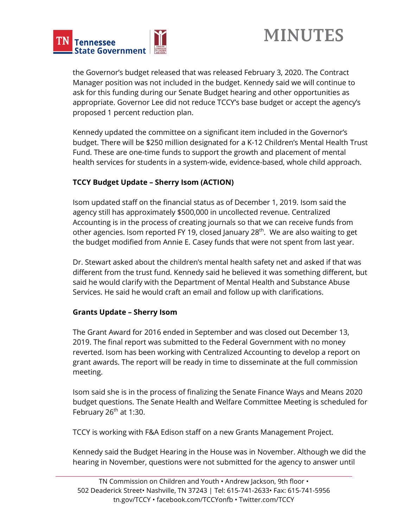



the Governor's budget released that was released February 3, 2020. The Contract Manager position was not included in the budget. Kennedy said we will continue to ask for this funding during our Senate Budget hearing and other opportunities as appropriate. Governor Lee did not reduce TCCY's base budget or accept the agency's proposed 1 percent reduction plan.

Kennedy updated the committee on a significant item included in the Governor's budget. There will be \$250 million designated for a K-12 Children's Mental Health Trust Fund. These are one-time funds to support the growth and placement of mental health services for students in a system-wide, evidence-based, whole child approach.

## **TCCY Budget Update – Sherry Isom (ACTION)**

Isom updated staff on the financial status as of December 1, 2019. Isom said the agency still has approximately \$500,000 in uncollected revenue. Centralized Accounting is in the process of creating journals so that we can receive funds from other agencies. Isom reported FY 19, closed January 28<sup>th</sup>. We are also waiting to get the budget modified from Annie E. Casey funds that were not spent from last year.

Dr. Stewart asked about the children's mental health safety net and asked if that was different from the trust fund. Kennedy said he believed it was something different, but said he would clarify with the Department of Mental Health and Substance Abuse Services. He said he would craft an email and follow up with clarifications.

#### **Grants Update – Sherry Isom**

The Grant Award for 2016 ended in September and was closed out December 13, 2019. The final report was submitted to the Federal Government with no money reverted. Isom has been working with Centralized Accounting to develop a report on grant awards. The report will be ready in time to disseminate at the full commission meeting.

Isom said she is in the process of finalizing the Senate Finance Ways and Means 2020 budget questions. The Senate Health and Welfare Committee Meeting is scheduled for February 26<sup>th</sup> at 1:30.

TCCY is working with F&A Edison staff on a new Grants Management Project.

Kennedy said the Budget Hearing in the House was in November. Although we did the hearing in November, questions were not submitted for the agency to answer until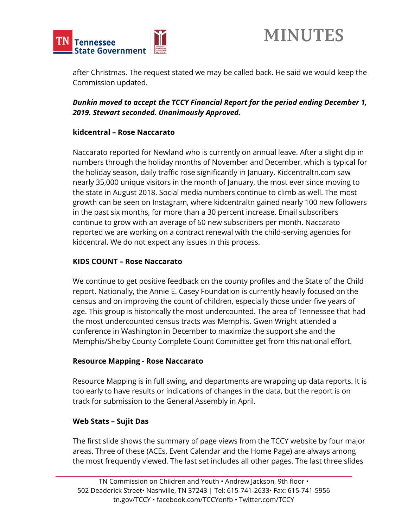

after Christmas. The request stated we may be called back. He said we would keep the Commission updated.

## *Dunkin moved to accept the TCCY Financial Report for the period ending December 1, 2019. Stewart seconded. Unanimously Approved.*

#### **kidcentral – Rose Naccarato**

Naccarato reported for Newland who is currently on annual leave. After a slight dip in numbers through the holiday months of November and December, which is typical for the holiday season, daily traffic rose significantly in January. Kidcentraltn.com saw nearly 35,000 unique visitors in the month of January, the most ever since moving to the state in August 2018. Social media numbers continue to climb as well. The most growth can be seen on Instagram, where kidcentraltn gained nearly 100 new followers in the past six months, for more than a 30 percent increase. Email subscribers continue to grow with an average of 60 new subscribers per month. Naccarato reported we are working on a contract renewal with the child-serving agencies for kidcentral. We do not expect any issues in this process.

## **KIDS COUNT – Rose Naccarato**

We continue to get positive feedback on the county profiles and the State of the Child report. Nationally, the Annie E. Casey Foundation is currently heavily focused on the census and on improving the count of children, especially those under five years of age. This group is historically the most undercounted. The area of Tennessee that had the most undercounted census tracts was Memphis. Gwen Wright attended a conference in Washington in December to maximize the support she and the Memphis/Shelby County Complete Count Committee get from this national effort.

#### **Resource Mapping - Rose Naccarato**

Resource Mapping is in full swing, and departments are wrapping up data reports. It is too early to have results or indications of changes in the data, but the report is on track for submission to the General Assembly in April.

#### **Web Stats – Sujit Das**

The first slide shows the summary of page views from the TCCY website by four major areas. Three of these (ACEs, Event Calendar and the Home Page) are always among the most frequently viewed. The last set includes all other pages. The last three slides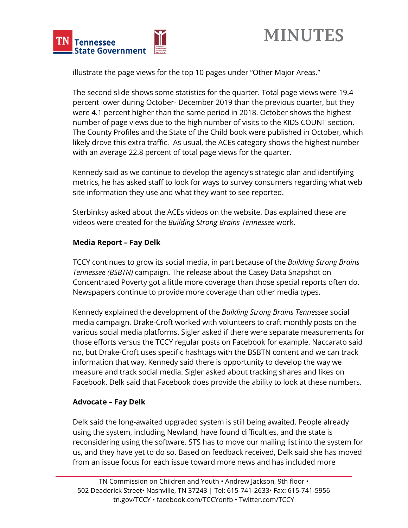



illustrate the page views for the top 10 pages under "Other Major Areas."

The second slide shows some statistics for the quarter. Total page views were 19.4 percent lower during October- December 2019 than the previous quarter, but they were 4.1 percent higher than the same period in 2018. October shows the highest number of page views due to the high number of visits to the KIDS COUNT section. The County Profiles and the State of the Child book were published in October, which likely drove this extra traffic. As usual, the ACEs category shows the highest number with an average 22.8 percent of total page views for the quarter.

Kennedy said as we continue to develop the agency's strategic plan and identifying metrics, he has asked staff to look for ways to survey consumers regarding what web site information they use and what they want to see reported.

Sterbinksy asked about the ACEs videos on the website. Das explained these are videos were created for the *Building Strong Brains Tennessee* work.

## **Media Report – Fay Delk**

TCCY continues to grow its social media, in part because of the *Building Strong Brains Tennessee (BSBTN)* campaign. The release about the Casey Data Snapshot on Concentrated Poverty got a little more coverage than those special reports often do. Newspapers continue to provide more coverage than other media types.

Kennedy explained the development of the *Building Strong Brains Tennessee* social media campaign. Drake-Croft worked with volunteers to craft monthly posts on the various social media platforms. Sigler asked if there were separate measurements for those efforts versus the TCCY regular posts on Facebook for example. Naccarato said no, but Drake-Croft uses specific hashtags with the BSBTN content and we can track information that way. Kennedy said there is opportunity to develop the way we measure and track social media. Sigler asked about tracking shares and likes on Facebook. Delk said that Facebook does provide the ability to look at these numbers.

#### **Advocate – Fay Delk**

Delk said the long-awaited upgraded system is still being awaited. People already using the system, including Newland, have found difficulties, and the state is reconsidering using the software. STS has to move our mailing list into the system for us, and they have yet to do so. Based on feedback received, Delk said she has moved from an issue focus for each issue toward more news and has included more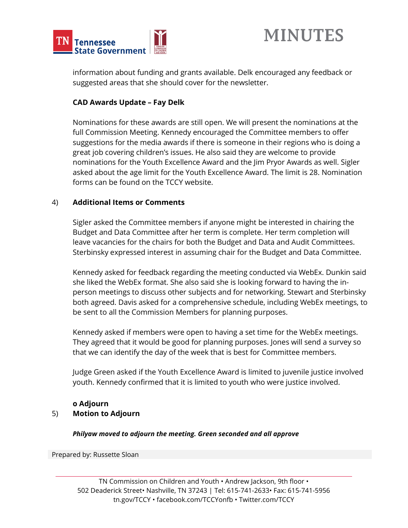



information about funding and grants available. Delk encouraged any feedback or suggested areas that she should cover for the newsletter.

#### **CAD Awards Update – Fay Delk**

Nominations for these awards are still open. We will present the nominations at the full Commission Meeting. Kennedy encouraged the Committee members to offer suggestions for the media awards if there is someone in their regions who is doing a great job covering children's issues. He also said they are welcome to provide nominations for the Youth Excellence Award and the Jim Pryor Awards as well. Sigler asked about the age limit for the Youth Excellence Award. The limit is 28. Nomination forms can be found on the TCCY website.

#### 4) **Additional Items or Comments**

Sigler asked the Committee members if anyone might be interested in chairing the Budget and Data Committee after her term is complete. Her term completion will leave vacancies for the chairs for both the Budget and Data and Audit Committees. Sterbinsky expressed interest in assuming chair for the Budget and Data Committee.

Kennedy asked for feedback regarding the meeting conducted via WebEx. Dunkin said she liked the WebEx format. She also said she is looking forward to having the inperson meetings to discuss other subjects and for networking. Stewart and Sterbinsky both agreed. Davis asked for a comprehensive schedule, including WebEx meetings, to be sent to all the Commission Members for planning purposes.

Kennedy asked if members were open to having a set time for the WebEx meetings. They agreed that it would be good for planning purposes. Jones will send a survey so that we can identify the day of the week that is best for Committee members.

Judge Green asked if the Youth Excellence Award is limited to juvenile justice involved youth. Kennedy confirmed that it is limited to youth who were justice involved.

#### **o Adjourn**

#### 5) **Motion to Adjourn**

#### *Philyaw moved to adjourn the meeting. Green seconded and all approve*

Prepared by: Russette Sloan